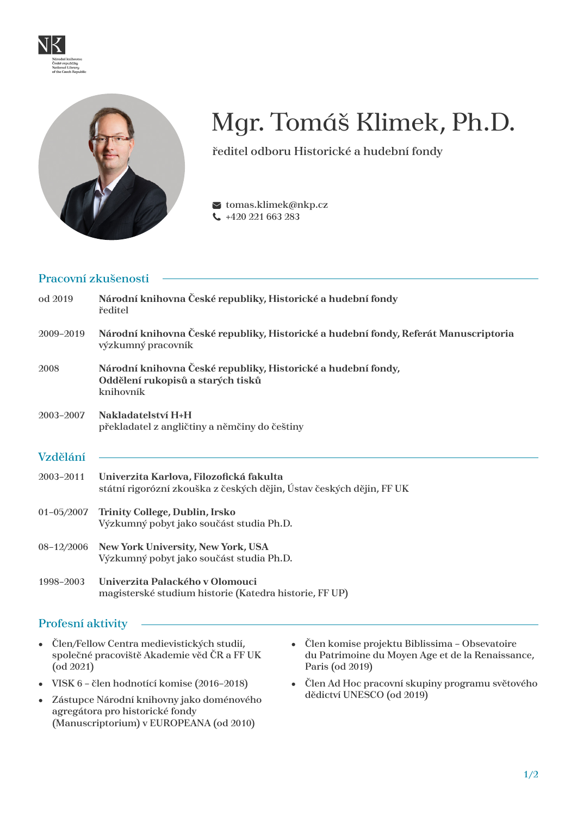



# Mgr. Tomáš Klimek, Ph.D.

ředitel odboru Historické a hudební fondy

 $\blacktriangleright$ tomas.klimek@nkp.cz +420 221 663 283

#### Pracovní zkušenosti

| od 2019        | Národní knihovna České republiky, Historické a hudební fondy<br>ředitel                                         |
|----------------|-----------------------------------------------------------------------------------------------------------------|
| 2009-2019      | Národní knihovna České republiky, Historické a hudební fondy, Referát Manuscriptoria<br>výzkumný pracovník      |
| 2008           | Národní knihovna České republiky, Historické a hudební fondy,<br>Oddělení rukopisů a starých tisků<br>knihovník |
| 2003-2007      | Nakladatelství H+H<br>překladatel z angličtiny a němčiny do češtiny                                             |
| Vzdělání       |                                                                                                                 |
| 2003-2011      | Univerzita Karlova, Filozofická fakulta<br>státní rigorózní zkouška z českých dějin, Ústav českých dějin, FF UK |
| $01 - 05/2007$ | Trinity College, Dublin, Irsko<br>Výzkumný pobyt jako součást studia Ph.D.                                      |
| 08-12/2006     | New York University, New York, USA<br>Výzkumný pobyt jako součást studia Ph.D.                                  |
| 1998-2003      | Univerzita Palackého v Olomouci<br>magisterské studium historie (Katedra historie, FF UP)                       |

### Profesní aktivity

- Člen/Fellow Centra medievistických studií, společné pracoviště Akademie věd ČR a FF UK (od 2021)
- VISK 6 člen hodnotící komise (2016–2018)
- Zástupce Národní knihovny jako doménového agregátora pro historické fondy (Manuscriptorium) v EUROPEANA (od 2010)
- Člen komise projektu Biblissima Obsevatoire du Patrimoine du Moyen Age et de la Renaissance, Paris (od 2019)
- Člen Ad Hoc pracovní skupiny programu světového dědictví UNESCO (od 2019)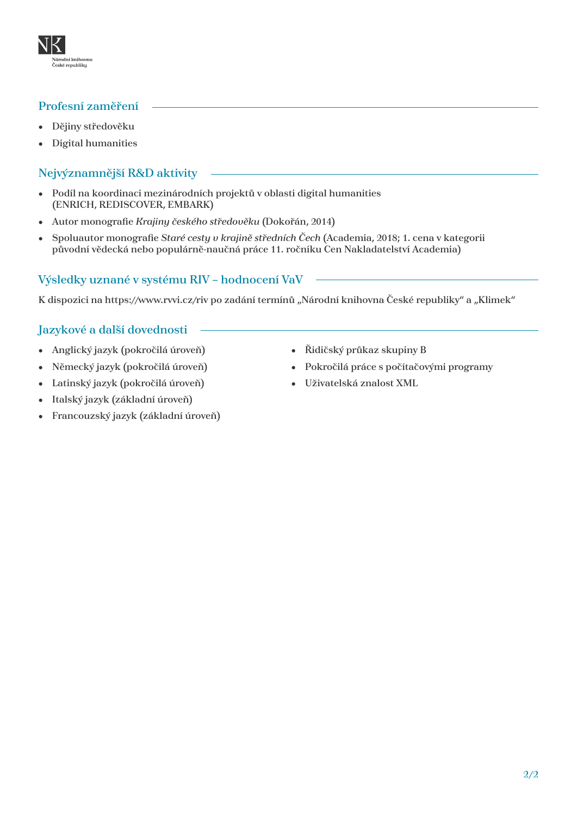# Profesní zaměření

aroam kinnoa<br>eské republiky

- Dějiny středověku
- Digital humanities

# Nejvýznamnější R&D aktivity

- Podíl na koordinaci mezinárodních projektů v oblasti digital humanities (ENRICH, REDISCOVER, EMBARK)
- Autor monografie *Krajiny českého středověku* (Dokořán, 2014)
- Spoluautor monografie *Staré cesty v krajině středních Čech* (Academia, 2018; 1. cena v kategorii původní vědecká nebo populárně-naučná práce 11. ročníku Cen Nakladatelství Academia)

# Výsledky uznané v systému RIV – hodnocení VaV

K dispozici na https://www.rvvi.cz/riv po zadání termínů "Národní knihovna České republiky" a "Klimek"

### Jazykové a další dovednosti

- Anglický jazyk (pokročilá úroveň)
- Německý jazyk (pokročilá úroveň)
- Latinský jazyk (pokročilá úroveň)
- Italský jazyk (základní úroveň)
- Francouzský jazyk (základní úroveň)
- Řidičský průkaz skupiny B
- Pokročilá práce s počítačovými programy
- Uživatelská znalost XML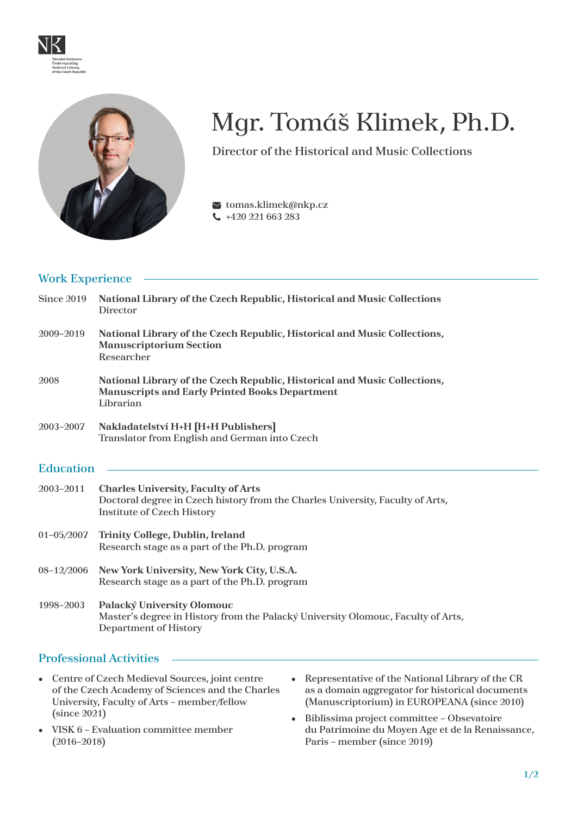



# Mgr. Tomáš Klimek, Ph.D.

Director of the Historical and Music Collections

 $\blacktriangleright$ tomas.klimek@nkp.cz +420 221 663 283

# Work Experience

| <b>Since 2019</b> | National Library of the Czech Republic, Historical and Music Collections<br>Director                                                                              |
|-------------------|-------------------------------------------------------------------------------------------------------------------------------------------------------------------|
| 2009-2019         | National Library of the Czech Republic, Historical and Music Collections,<br><b>Manuscriptorium Section</b><br>Researcher                                         |
| 2008              | National Library of the Czech Republic, Historical and Music Collections,<br><b>Manuscripts and Early Printed Books Department</b><br>Librarian                   |
| 2003-2007         | Nakladatelství H+H [H+H Publishers]<br>Translator from English and German into Czech                                                                              |
| <b>Education</b>  |                                                                                                                                                                   |
| 2003-2011         | <b>Charles University, Faculty of Arts</b><br>Doctoral degree in Czech history from the Charles University, Faculty of Arts,<br><b>Institute of Czech History</b> |
| $01 - 05/2007$    | Trinity College, Dublin, Ireland<br>Research stage as a part of the Ph.D. program                                                                                 |
| 08-12/2006        | New York University, New York City, U.S.A.<br>Research stage as a part of the Ph.D. program                                                                       |
| 1998-2003         | Palacký University Olomouc<br>Master's degree in History from the Palacký University Olomouc, Faculty of Arts,<br><b>Department of History</b>                    |

### Professional Activities

- Centre of Czech Medieval Sources, joint centre of the Czech Academy of Sciences and the Charles University, Faculty of Arts – member/fellow (since 2021)
- VISK 6 Evaluation committee member (2016–2018)
- Representative of the National Library of the CR as a domain aggregator for historical documents (Manuscriptorium) in EUROPEANA (since 2010)
- Biblissima project committee Obsevatoire du Patrimoine du Moyen Age et de la Renaissance, Paris – member (since 2019)